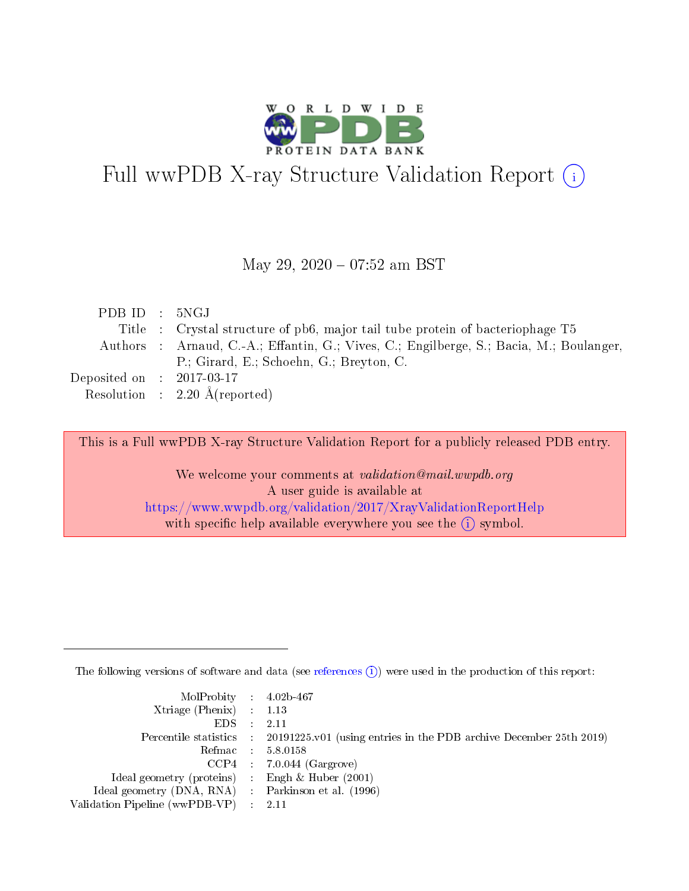

# Full wwPDB X-ray Structure Validation Report (i)

#### May 29, 2020 - 07:52 am BST

| PDBID : 5NGJ                |                                                                                         |
|-----------------------------|-----------------------------------------------------------------------------------------|
|                             | Title : Crystal structure of pb6, major tail tube protein of bacteriophage T5           |
|                             | Authors : Arnaud, C.-A.; Effantin, G.; Vives, C.; Engilberge, S.; Bacia, M.; Boulanger, |
|                             | P.; Girard, E.; Schoehn, G.; Breyton, C.                                                |
| Deposited on : $2017-03-17$ |                                                                                         |
|                             | Resolution : $2.20 \text{ Å}$ (reported)                                                |

This is a Full wwPDB X-ray Structure Validation Report for a publicly released PDB entry.

We welcome your comments at validation@mail.wwpdb.org A user guide is available at <https://www.wwpdb.org/validation/2017/XrayValidationReportHelp> with specific help available everywhere you see the  $(i)$  symbol.

The following versions of software and data (see [references](https://www.wwpdb.org/validation/2017/XrayValidationReportHelp#references)  $(i)$ ) were used in the production of this report:

| $MolProbability$ 4.02b-467<br>Xtriage (Phenix) $: 1.13$ |                                                                                                     |
|---------------------------------------------------------|-----------------------------------------------------------------------------------------------------|
| $EDS$ :                                                 | -2.11<br>Percentile statistics : 20191225.v01 (using entries in the PDB archive December 25th 2019) |
|                                                         | Refmac : 5.8.0158                                                                                   |
|                                                         | $CCP4$ : 7.0.044 (Gargrove)                                                                         |
| Ideal geometry (proteins) : Engh $\&$ Huber (2001)      |                                                                                                     |
| Ideal geometry (DNA, RNA) : Parkinson et al. (1996)     |                                                                                                     |
| Validation Pipeline (wwPDB-VP) :                        | -2.11                                                                                               |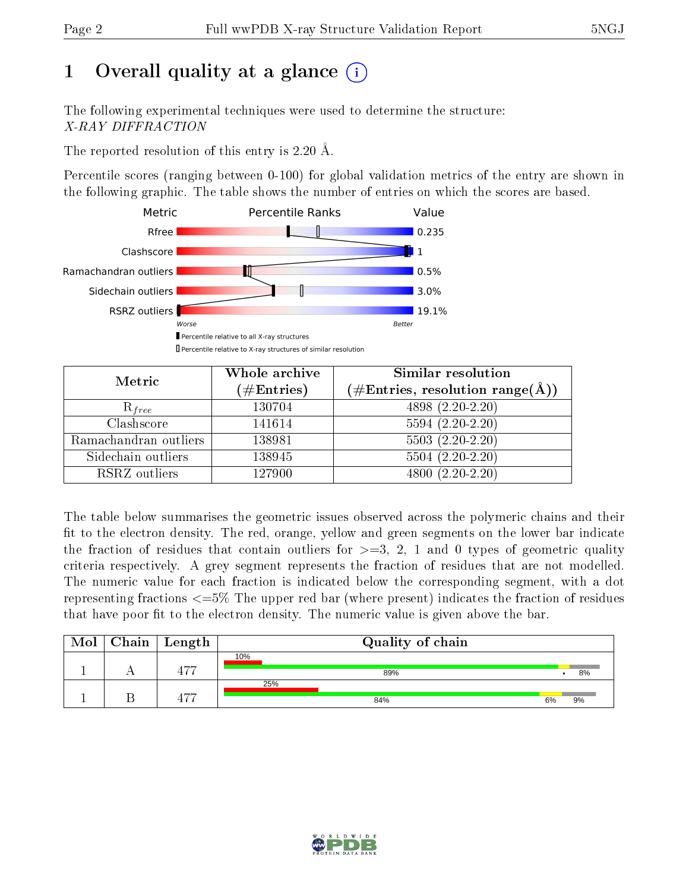# 1 [O](https://www.wwpdb.org/validation/2017/XrayValidationReportHelp#overall_quality)verall quality at a glance  $(i)$

The following experimental techniques were used to determine the structure: X-RAY DIFFRACTION

The reported resolution of this entry is 2.20 Å.

Percentile scores (ranging between 0-100) for global validation metrics of the entry are shown in the following graphic. The table shows the number of entries on which the scores are based.



| Metric                | Whole archive        | <b>Similar resolution</b>                                              |  |  |
|-----------------------|----------------------|------------------------------------------------------------------------|--|--|
|                       | $(\#\text{Entries})$ | $(\#\text{Entries},\, \text{resolution}\; \text{range}(\textup{\AA}))$ |  |  |
| $R_{free}$            | 130704               | 4898 (2.20-2.20)                                                       |  |  |
| Clashscore            | 141614               | $5594(2.20-2.20)$                                                      |  |  |
| Ramachandran outliers | 138981               | $5503(2.20-2.20)$                                                      |  |  |
| Sidechain outliers    | 138945               | $5504(2.20-2.20)$                                                      |  |  |
| RSRZ outliers         | 127900               | $4800(2.20-2.20)$                                                      |  |  |

The table below summarises the geometric issues observed across the polymeric chains and their fit to the electron density. The red, orange, yellow and green segments on the lower bar indicate the fraction of residues that contain outliers for  $>=$  3, 2, 1 and 0 types of geometric quality criteria respectively. A grey segment represents the fraction of residues that are not modelled. The numeric value for each fraction is indicated below the corresponding segment, with a dot representing fractions  $\epsilon=5\%$  The upper red bar (where present) indicates the fraction of residues that have poor fit to the electron density. The numeric value is given above the bar.

| Mol | $Chain \  Length$ | Quality of chain |    |    |
|-----|-------------------|------------------|----|----|
|     | ィーー               | 10%<br>89%       |    | 8% |
|     | エワワ               | 25%<br>84%       | 6% | 9% |

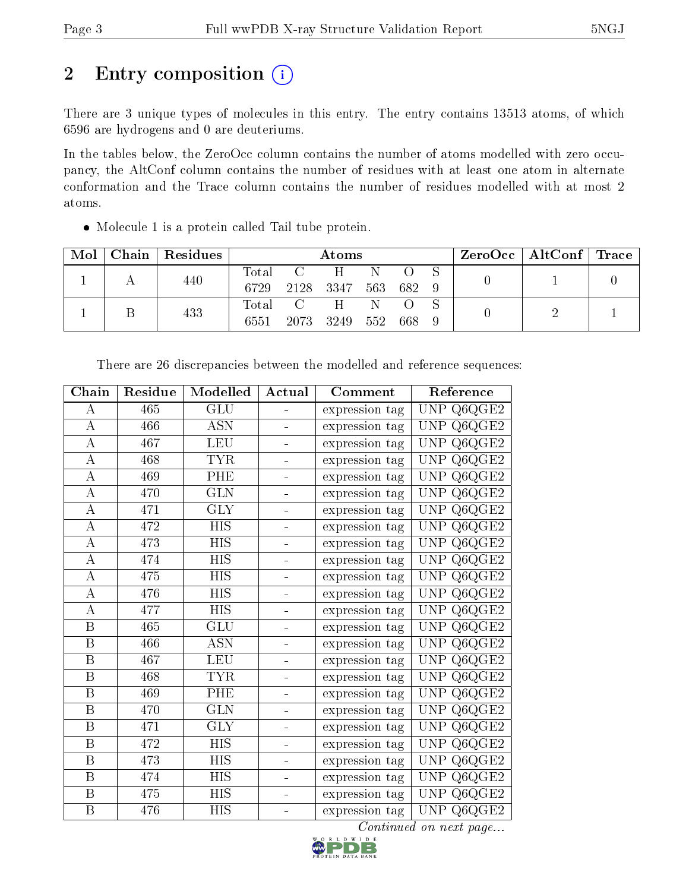# 2 Entry composition (i)

There are 3 unique types of molecules in this entry. The entry contains 13513 atoms, of which 6596 are hydrogens and 0 are deuteriums.

In the tables below, the ZeroOcc column contains the number of atoms modelled with zero occupancy, the AltConf column contains the number of residues with at least one atom in alternate conformation and the Trace column contains the number of residues modelled with at most 2 atoms.

Molecule 1 is a protein called Tail tube protein.

| Mol | Chain | $\mid$ Residues |       | Atoms                     |     |     |       |  | ZeroOcc   AltConf   Trace |  |
|-----|-------|-----------------|-------|---------------------------|-----|-----|-------|--|---------------------------|--|
|     |       | 440             | Total | $\overline{C}$            | H   | N   |       |  |                           |  |
|     |       |                 | 6729  | 2128 3347                 |     | 563 | 682 9 |  |                           |  |
|     |       | 433             | Total | $\overline{\mathbf{C}}$ . | H.  | N   |       |  |                           |  |
|     |       | 6551            | 2073  | 3249                      | 552 | 668 |       |  |                           |  |

| Chain                   | Residue | Modelled                | Actual | Comment        | Reference                          |
|-------------------------|---------|-------------------------|--------|----------------|------------------------------------|
| А                       | 465     | <b>GLU</b>              |        | expression tag | <b>UNP</b><br>Q6QGE2               |
| $\bf{A}$                | 466     | <b>ASN</b>              |        | expression tag | Q6QGE2<br><b>UNP</b>               |
| $\bf{A}$                | 467     | <b>LEU</b>              |        | expression tag | <b>UNP</b><br>Q6QGE2               |
| $\bf{A}$                | 468     | <b>TYR</b>              | ÷.     | expression tag | Q6QGE2<br><b>UNP</b>               |
| $\boldsymbol{A}$        | 469     | PHE                     |        | expression tag | Q6QGE2<br><b>UNP</b>               |
| $\boldsymbol{A}$        | 470     | <b>GLN</b>              | ÷,     | expression tag | Q6QGE2<br><b>UNP</b>               |
| $\boldsymbol{A}$        | 471     | <b>GLY</b>              | -      | expression tag | Q6QGE2<br><b>UNP</b>               |
| $\bf{A}$                | 472     | <b>HIS</b>              |        | expression tag | Q6QGE2<br><b>UNP</b>               |
| $\bf{A}$                | 473     | <b>HIS</b>              |        | expression tag | Q6QGE2<br><b>UNP</b>               |
| $\boldsymbol{A}$        | 474     | <b>HIS</b>              |        | expression tag | Q6QGE2<br><b>UNP</b>               |
| $\boldsymbol{A}$        | 475     | <b>HIS</b>              |        | expression tag | <b>UNP</b><br>$\rm Q6QGE2$         |
| $\boldsymbol{A}$        | 476     | <b>HIS</b>              |        | expression tag | Q6QGE2<br><b>UNP</b>               |
| $\bf{A}$                | 477     | <b>HIS</b>              | L,     | expression tag | Q6QGE2<br><b>UNP</b>               |
| $\, {\bf B}$            | 465     | GLU                     |        | expression tag | $\mathrm{Q6QGE2}$<br><b>UNP</b>    |
| $\overline{\mathrm{B}}$ | 466     | $\overline{ASN}$        |        | expression tag | <b>UNP</b><br>Q6QGE2               |
| $\, {\bf B}$            | 467     | <b>LEU</b>              |        | expression tag | Q6QGE2<br><b>UNP</b>               |
| $\overline{\mathrm{B}}$ | 468     | <b>TYR</b>              |        | expression tag | $Q6Q\overline{GE2}$<br><b>UNP</b>  |
| $\overline{B}$          | 469     | PHE                     |        | expression tag | Q6QGE2<br><b>UNP</b>               |
| B                       | 470     | <b>GLN</b>              |        | expression tag | <b>UNP</b><br>$Q6QGE$ <sub>2</sub> |
| $\overline{\mathbf{B}}$ | 471     | $\overline{\text{GLY}}$ | ÷.     | expression tag | Q6QGE2<br><b>UNP</b>               |
| B                       | 472     | <b>HIS</b>              | ÷,     | expression tag | Q6QGE2<br>UNP                      |
| $\boldsymbol{B}$        | 473     | <b>HIS</b>              | ÷.     | expression tag | $Q6QGE$ <sub>2</sub><br>UNP        |
| $\, {\bf B}$            | 474     | <b>HIS</b>              |        | expression tag | Q6QGE2<br>UNP                      |
| $\boldsymbol{B}$        | 475     | <b>HIS</b>              |        | expression tag | $Q6QGE$ <sup>2</sup><br><b>UNP</b> |
| $\overline{\mathbf{B}}$ | 476     | <b>HIS</b>              |        | expression tag | <b>UNP</b><br>Q6QGE2               |

There are 26 discrepancies between the modelled and reference sequences:

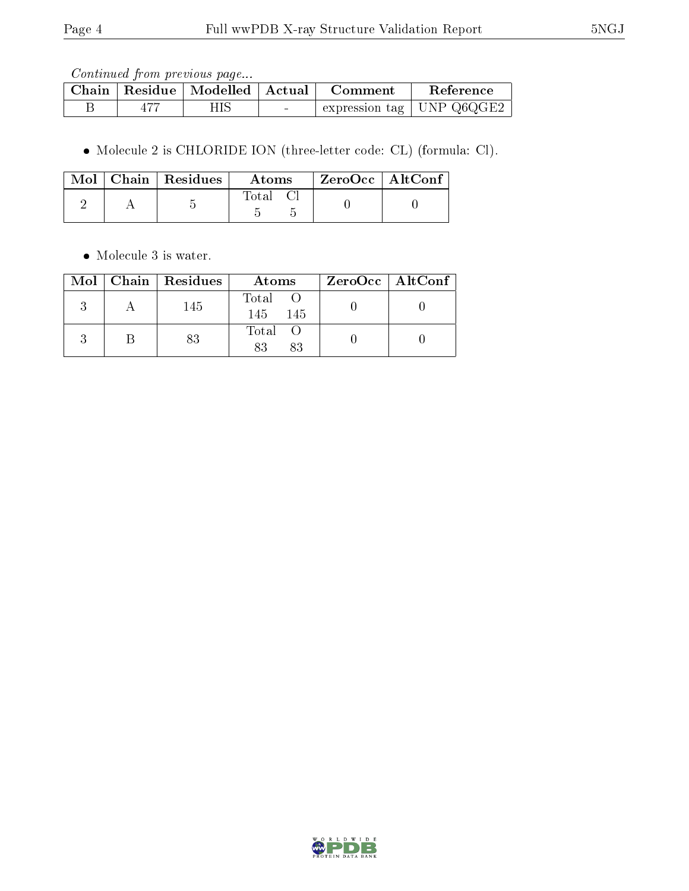|  | Chain   Residue   Modelled   Actual | <b>Comment</b> | Reference                          |
|--|-------------------------------------|----------------|------------------------------------|
|  |                                     |                | $\pm$ expression tag   UNP Q6QGE2. |

Molecule 2 is CHLORIDE ION (three-letter code: CL) (formula: Cl).

|  | Mol   Chain   Residues  <br>Atoms |       | $^\mathrm{+}$ ZeroOcc $\mathrm{~\vert}$ AltConf $\mathrm{~\vert}$ |  |
|--|-----------------------------------|-------|-------------------------------------------------------------------|--|
|  |                                   | Total |                                                                   |  |

• Molecule 3 is water.

|  | $Mol$   Chain   Residues | Atoms                | $ZeroOcc \   \$ AltConf |
|--|--------------------------|----------------------|-------------------------|
|  | 145                      | Total<br>-145<br>145 |                         |
|  | 83                       | Total<br>83<br>83    |                         |

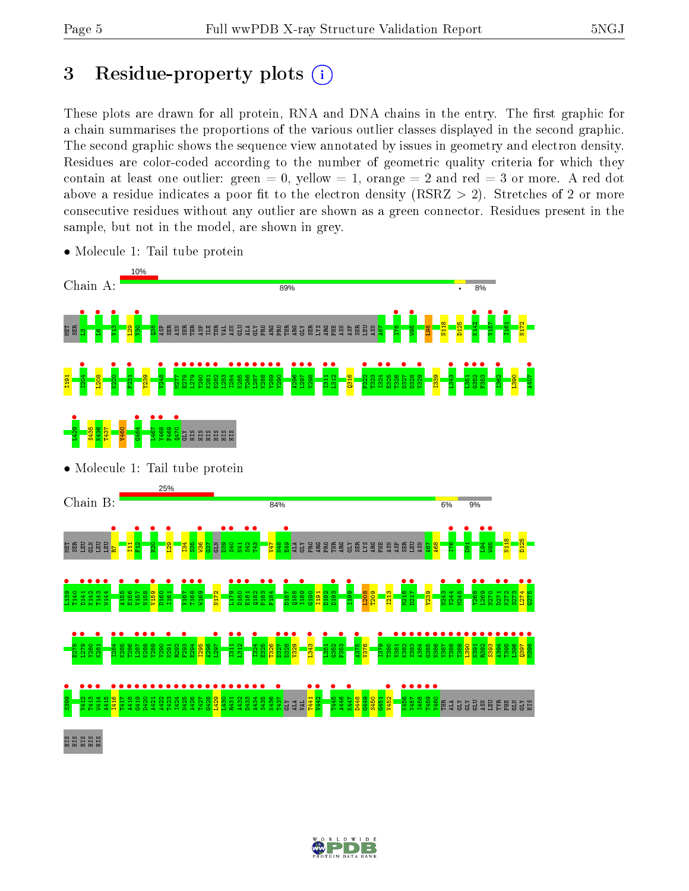# 3 Residue-property plots  $(i)$

These plots are drawn for all protein, RNA and DNA chains in the entry. The first graphic for a chain summarises the proportions of the various outlier classes displayed in the second graphic. The second graphic shows the sequence view annotated by issues in geometry and electron density. Residues are color-coded according to the number of geometric quality criteria for which they contain at least one outlier: green  $= 0$ , yellow  $= 1$ , orange  $= 2$  and red  $= 3$  or more. A red dot above a residue indicates a poor fit to the electron density (RSRZ  $> 2$ ). Stretches of 2 or more consecutive residues without any outlier are shown as a green connector. Residues present in the sample, but not in the model, are shown in grey.



• Molecule 1: Tail tube protein

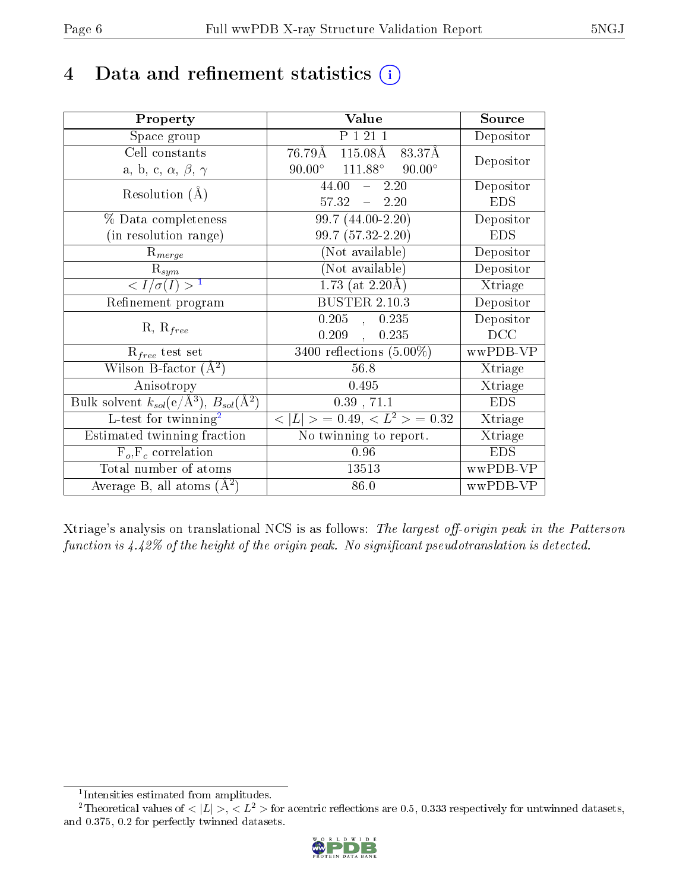# 4 Data and refinement statistics  $(i)$

| Property                                                         | Value                                      | Source     |
|------------------------------------------------------------------|--------------------------------------------|------------|
| Space group                                                      | P 1 21 1                                   | Depositor  |
| Cell constants                                                   | 115.08Å 83.37Å<br>76.79Å                   | Depositor  |
| a, b, c, $\alpha$ , $\beta$ , $\gamma$                           | $90.00^{\circ}$ 111.88°<br>$90.00^{\circ}$ |            |
| Resolution $(A)$                                                 | $44.00 - 2.20$                             | Depositor  |
|                                                                  | $57.32 - 2.20$                             | <b>EDS</b> |
| % Data completeness                                              | 99.7 (44.00-2.20)                          | Depositor  |
| (in resolution range)                                            | 99.7 (57.32-2.20)                          | <b>EDS</b> |
| $R_{merge}$                                                      | (Not available)                            | Depositor  |
| $\mathrm{R}_{sym}$                                               | (Not available)                            | Depositor  |
| $\langle I/\sigma(I) \rangle^{-1}$                               | $1.73$ (at 2.20Å)                          | Xtriage    |
| Refinement program                                               | <b>BUSTER 2.10.3</b>                       | Depositor  |
|                                                                  | $0.205$ , $0.235$                          | Depositor  |
| $R, R_{free}$                                                    | 0.209,<br>0.235                            | DCC        |
| $\mathcal{R}_{free}$ test set                                    | $3400$ reflections $(5.00\%)$              | wwPDB-VP   |
| Wilson B-factor $(A^2)$                                          | 56.8                                       | Xtriage    |
| Anisotropy                                                       | 0.495                                      | Xtriage    |
| Bulk solvent $k_{sol}(\text{e}/\text{A}^3), B_{sol}(\text{A}^2)$ | $0.39$ , $71.1$                            | <b>EDS</b> |
| L-test for $\overline{\text{twinning}}^2$                        | $< L >$ = 0.49, $< L^2 >$ = 0.32           | Xtriage    |
| Estimated twinning fraction                                      | No twinning to report.                     | Xtriage    |
| $F_o, F_c$ correlation                                           | 0.96                                       | <b>EDS</b> |
| Total number of atoms                                            | 13513                                      | wwPDB-VP   |
| Average B, all atoms $(A^2)$                                     | 86.0                                       | wwPDB-VP   |

Xtriage's analysis on translational NCS is as follows: The largest off-origin peak in the Patterson function is  $4.42\%$  of the height of the origin peak. No significant pseudotranslation is detected.

<sup>&</sup>lt;sup>2</sup>Theoretical values of  $\langle |L| \rangle$ ,  $\langle L^2 \rangle$  for acentric reflections are 0.5, 0.333 respectively for untwinned datasets, and 0.375, 0.2 for perfectly twinned datasets.



<span id="page-5-1"></span><span id="page-5-0"></span><sup>1</sup> Intensities estimated from amplitudes.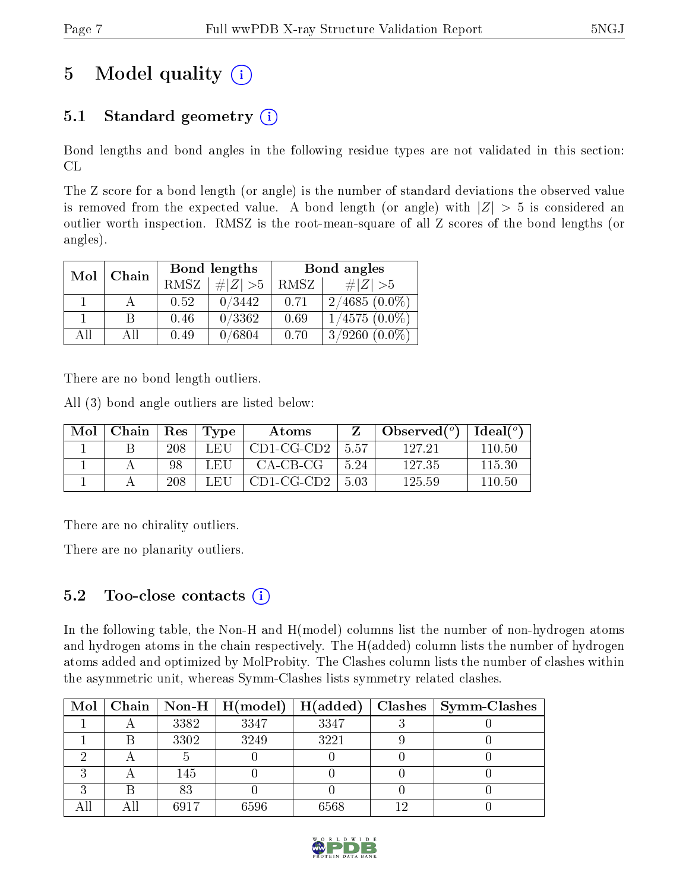# 5 Model quality  $(i)$

# 5.1 Standard geometry  $(i)$

Bond lengths and bond angles in the following residue types are not validated in this section: CL

The Z score for a bond length (or angle) is the number of standard deviations the observed value is removed from the expected value. A bond length (or angle) with  $|Z| > 5$  is considered an outlier worth inspection. RMSZ is the root-mean-square of all Z scores of the bond lengths (or angles).

| Mol | Chain |             | Bond lengths | Bond angles |                 |  |
|-----|-------|-------------|--------------|-------------|-----------------|--|
|     |       | <b>RMSZ</b> | $\ Z\  > 5$  | RMSZ        | # $ Z  > 5$     |  |
|     |       | 0.52        | 0/3442       | 0.71        | $2/4685(0.0\%)$ |  |
|     | B     | 0.46        | 0/3362       | 0.69        | $1/4575(0.0\%)$ |  |
| AĦ  | АH    | 0.49        | 0/6804       | 0.70        | $3/9260(0.0\%)$ |  |

There are no bond length outliers.

All (3) bond angle outliers are listed below:

| Mol | Chain   $\text{Res}$   $\text{Type}$ |     |      | Atoms                        |       | $\bullet$ Observed( <sup>o</sup> )   Ideal( <sup>o</sup> ) |        |
|-----|--------------------------------------|-----|------|------------------------------|-------|------------------------------------------------------------|--------|
|     |                                      | 208 |      | LEU $\mid$ CD1-CG-CD2 $\mid$ | -5.57 | 127.21                                                     | 110.50 |
|     |                                      | 98  | L EH | CA-CB-CG-                    | 5 24  | 127.35                                                     | 115.30 |
|     |                                      | 208 | LEU  | $\mid$ CD1-CG-CD2            | -503  | 125.59                                                     | 110.50 |

There are no chirality outliers.

There are no planarity outliers.

### 5.2 Too-close contacts  $(i)$

In the following table, the Non-H and H(model) columns list the number of non-hydrogen atoms and hydrogen atoms in the chain respectively. The H(added) column lists the number of hydrogen atoms added and optimized by MolProbity. The Clashes column lists the number of clashes within the asymmetric unit, whereas Symm-Clashes lists symmetry related clashes.

|  |      | Mol   Chain   Non-H   H(model) | H(added) | Clashes   Symm-Clashes |
|--|------|--------------------------------|----------|------------------------|
|  | 3382 | 3347                           | 3347     |                        |
|  | 3302 | 3249                           | 3221     |                        |
|  |      |                                |          |                        |
|  | 145  |                                |          |                        |
|  | 83   |                                |          |                        |
|  | 6917 | 6596                           | 6568     |                        |

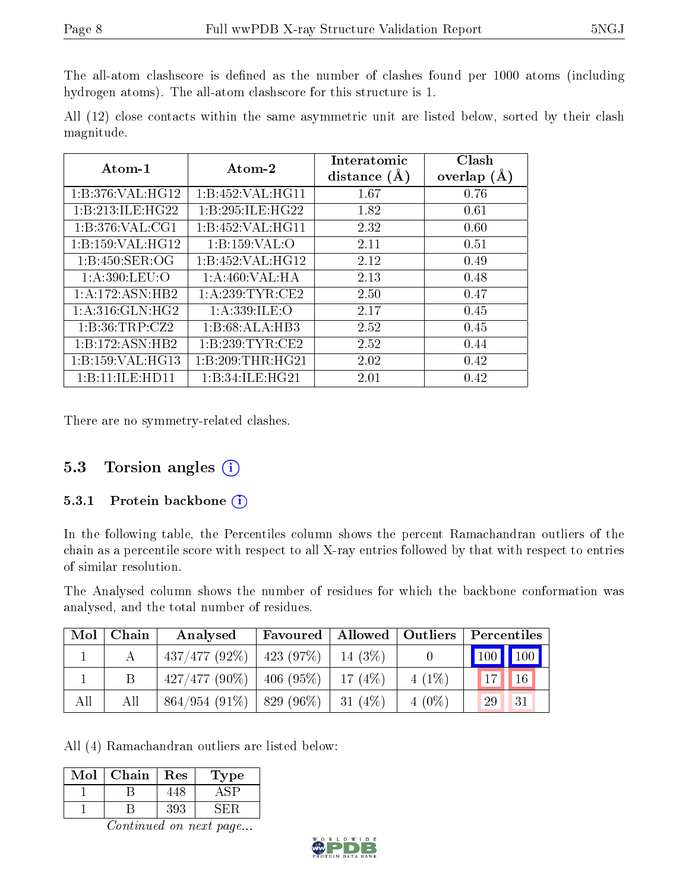The all-atom clashscore is defined as the number of clashes found per 1000 atoms (including hydrogen atoms). The all-atom clashscore for this structure is 1.

All (12) close contacts within the same asymmetric unit are listed below, sorted by their clash magnitude.

| Atom-1             | Atom-2            | Interatomic<br>distance $(A)$ | Clash<br>overlap $(A)$ |
|--------------------|-------------------|-------------------------------|------------------------|
| 1:B:376:VAL:HG12   | 1:B:452:VAL:HG11  | 1.67                          | 0.76                   |
| 1:B:213:ILE:HG22   | 1:B:295:ILE:HG22  | 1.82                          | 0.61                   |
| 1:B:376:VAL:CG1    | 1:B:452:VAL:HG11  | 2.32                          | 0.60                   |
| 1:B:159:VAL:HG12   | 1:B:159:VAL:O     | 2.11                          | 0.51                   |
| 1:B:450:SER:OG     | 1:B:452:VAL:HG12  | 2.12                          | 0.49                   |
| 1:A:390:LEU:O      | 1:A:460:VAL:HA    | 2.13                          | 0.48                   |
| 1:A:172:ASN:HB2    | 1: A:239:TYR:CE2  | 2.50                          | 0.47                   |
| 1: A:316: GLN: HG2 | 1: A: 339: ILE: O | 2.17                          | 0.45                   |
| 1: B: 36: TRP: CZ2 | 1:B:68:ALA:HB3    | 2.52                          | 0.45                   |
| 1:B:172:ASN:HB2    | 1:B:239:TYR:CE2   | 2.52                          | 0.44                   |
| 1:B:159:VAL:HG13   | 1:B:209:THR:HG21  | 2.02                          | 0.42                   |
| 1:B:11:ILE:HD11    | 1:B:34:ILE:HG21   | 2.01                          | 0.42                   |

There are no symmetry-related clashes.

### 5.3 Torsion angles  $(i)$

#### 5.3.1 Protein backbone  $(i)$

In the following table, the Percentiles column shows the percent Ramachandran outliers of the chain as a percentile score with respect to all X-ray entries followed by that with respect to entries of similar resolution.

The Analysed column shows the number of residues for which the backbone conformation was analysed, and the total number of residues.

| Mol | Chain | Analysed                      | Favoured |            |          | Allowed   Outliers   Percentiles |
|-----|-------|-------------------------------|----------|------------|----------|----------------------------------|
|     |       | $437/477$ (92\%)   423 (97\%) |          | 14 $(3\%)$ |          | 100 100                          |
|     |       | $427/477(90\%)$   406 (95\%)  |          | 17 $(4%)$  | $4(1\%)$ | $1 -$<br>16                      |
| All | All   | $864/954$ (91\%)   829 (96\%) |          | $31(4\%)$  | $4(0\%)$ | 29<br>31                         |

All (4) Ramachandran outliers are listed below:

| Mol | Chain | $\operatorname{Res}% \left( \mathcal{N}\right) \equiv\operatorname{Res}(\mathcal{N}_{0})\cap\mathcal{N}_{1}$ | Type |
|-----|-------|--------------------------------------------------------------------------------------------------------------|------|
|     |       | -48.                                                                                                         |      |
|     |       | 393                                                                                                          |      |

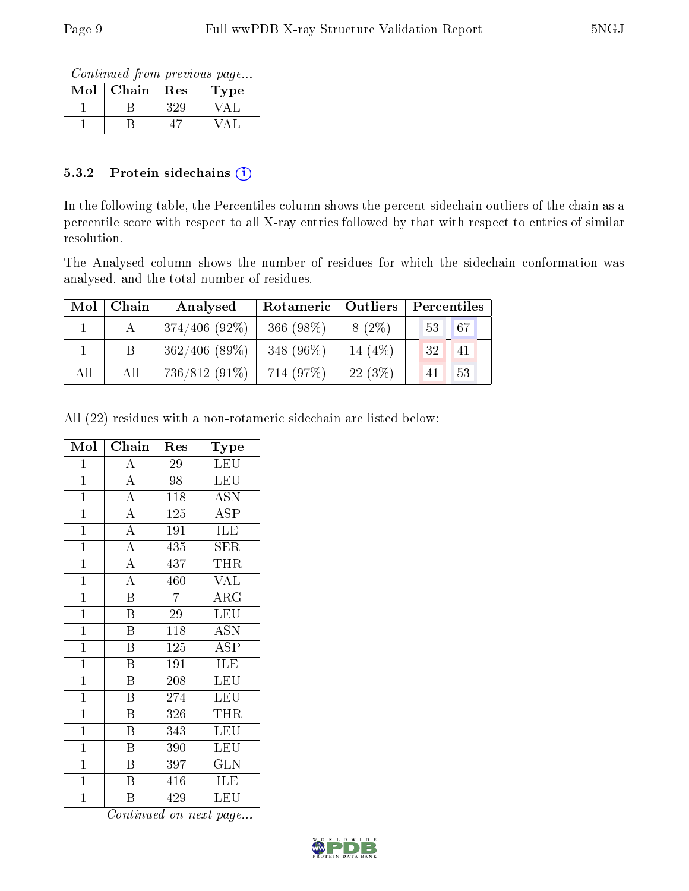Continued from previous page...

| Mol | Chain | Res | Type |
|-----|-------|-----|------|
|     |       | ツ   |      |
|     |       |     |      |

#### 5.3.2 Protein sidechains  $(i)$

In the following table, the Percentiles column shows the percent sidechain outliers of the chain as a percentile score with respect to all X-ray entries followed by that with respect to entries of similar resolution.

The Analysed column shows the number of residues for which the sidechain conformation was analysed, and the total number of residues.

| Mol | Chain | Analysed         | Rotameric   Outliers |           | Percentiles                    |  |  |
|-----|-------|------------------|----------------------|-----------|--------------------------------|--|--|
|     |       | $374/406$ (92\%) | 366 $(98\%)$         | $8(2\%)$  | 67<br>53 <sup>°</sup>          |  |  |
|     |       | $362/406$ (89\%) | 348 $(96\%)$         | 14 $(4%)$ | 32 <sub>1</sub><br>$\sqrt{41}$ |  |  |
| All | All   | 736/812 (91%)    | 714 (97%)            | 22(3%)    | 53<br>41                       |  |  |

All (22) residues with a non-rotameric sidechain are listed below:

| Mol            | Chain                   | Res              | Type                           |
|----------------|-------------------------|------------------|--------------------------------|
| $\mathbf 1$    | $\overline{\rm A}$      | 29               | <b>LEU</b>                     |
| $\mathbf{1}$   | $\overline{A}$          | 98               | <b>LEU</b>                     |
| $\mathbf{1}$   | $\overline{A}$          | $\overline{118}$ | <b>ASN</b>                     |
| $\mathbf{1}$   | $\overline{A}$          | 125              | ASP                            |
| $\mathbf{1}$   | $\overline{A}$          | 191              | <b>ILE</b>                     |
| $\overline{1}$ | $\overline{A}$          | 435              | <b>SER</b>                     |
| $\overline{1}$ | $\overline{A}$          | 437              | THR                            |
| $\mathbf{1}$   | $\overline{A}$          | 460              | <b>VAL</b>                     |
| $\overline{1}$ | $\overline{\mathrm{B}}$ | $\overline{7}$   | $\overline{\text{ARG}}$        |
| $\mathbf{1}$   | $\overline{\mathrm{B}}$ | 29               | LEU                            |
| $\overline{1}$ | $\, {\bf B}$            | 118              | <b>ASN</b>                     |
| $\overline{1}$ | $\overline{\mathrm{B}}$ | 125              | $\overline{\text{ASP}}$        |
| $\mathbf{1}$   | $\overline{\mathrm{B}}$ | 191              | ILE                            |
| $\overline{1}$ | $\overline{\mathrm{B}}$ | 208              | LEU                            |
| $\mathbf{1}$   | B                       | 274              | LEU                            |
| $\mathbf{1}$   | $\overline{\mathrm{B}}$ | 326              | <b>THR</b>                     |
| $\mathbf{1}$   | $\overline{\mathrm{B}}$ | 343              | LEU                            |
| $\mathbf{1}$   | $\boldsymbol{B}$        | 390              | LEU                            |
| $\overline{1}$ | $\overline{\mathrm{B}}$ | 397              | $\overline{\text{GLN}}$        |
| $\mathbf{1}$   | $\overline{\mathrm{B}}$ | 416              | ILE                            |
| $\mathbf 1$    | Β                       | 429              | $\overline{\text{L}}\text{EU}$ |

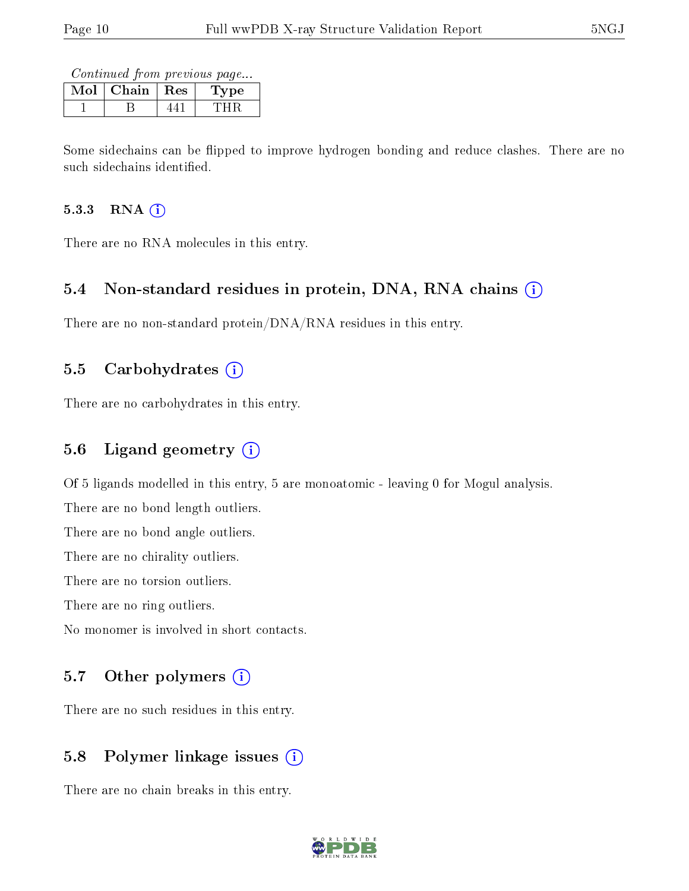Continued from previous page...

| Chain | Res | 7pe. |
|-------|-----|------|
|       |     |      |

Some sidechains can be flipped to improve hydrogen bonding and reduce clashes. There are no such sidechains identified.

#### 5.3.3 RNA (i)

There are no RNA molecules in this entry.

### 5.4 Non-standard residues in protein, DNA, RNA chains (i)

There are no non-standard protein/DNA/RNA residues in this entry.

#### 5.5 Carbohydrates  $(i)$

There are no carbohydrates in this entry.

### 5.6 Ligand geometry (i)

Of 5 ligands modelled in this entry, 5 are monoatomic - leaving 0 for Mogul analysis.

There are no bond length outliers.

There are no bond angle outliers.

There are no chirality outliers.

There are no torsion outliers.

There are no ring outliers.

No monomer is involved in short contacts.

#### 5.7 [O](https://www.wwpdb.org/validation/2017/XrayValidationReportHelp#nonstandard_residues_and_ligands)ther polymers (i)

There are no such residues in this entry.

### 5.8 Polymer linkage issues (i)

There are no chain breaks in this entry.

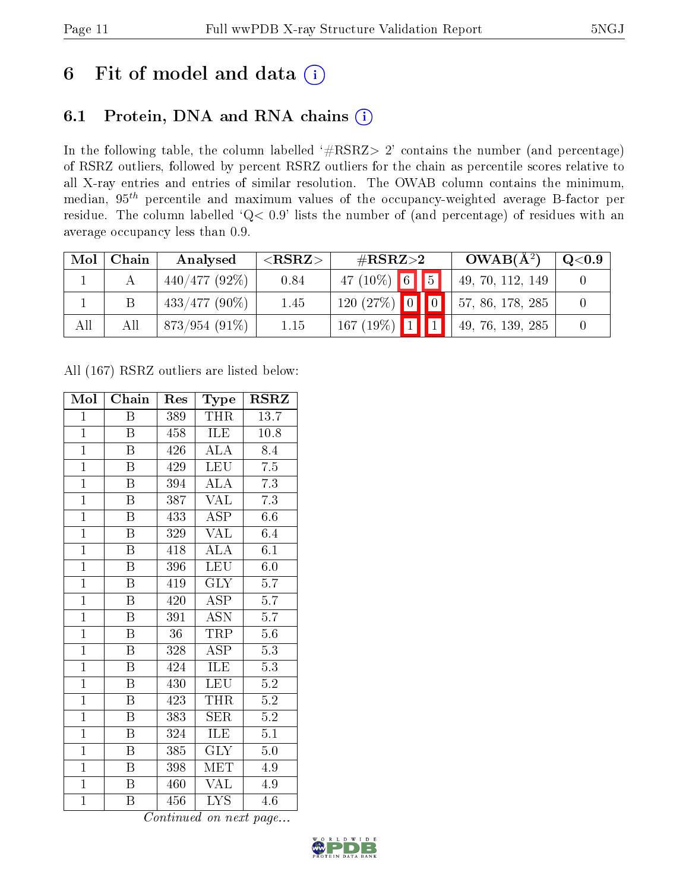# 6 Fit of model and data  $(i)$

# 6.1 Protein, DNA and RNA chains  $(i)$

In the following table, the column labelled  $#RSRZ> 2'$  contains the number (and percentage) of RSRZ outliers, followed by percent RSRZ outliers for the chain as percentile scores relative to all X-ray entries and entries of similar resolution. The OWAB column contains the minimum, median,  $95<sup>th</sup>$  percentile and maximum values of the occupancy-weighted average B-factor per residue. The column labelled ' $Q< 0.9$ ' lists the number of (and percentage) of residues with an average occupancy less than 0.9.

| Mol | Chain | Analysed        | ${ <\hspace{-1.5pt}{\mathrm{RSRZ}} \hspace{-1.5pt}>}$ | # $RSRZ>2$     |  | $OWAB(A^2)$              | $\mathrm{Q}{<}0.9$ |
|-----|-------|-----------------|-------------------------------------------------------|----------------|--|--------------------------|--------------------|
|     |       | $440/477(92\%)$ | 0.84                                                  | 47 (10%) 6 5   |  | 49, 70, 112, 149         |                    |
|     |       | $433/477(90\%)$ | 1.45                                                  | $120(27%)$ 0 0 |  | $\vert$ 57, 86, 178, 285 |                    |
| All | All   | $873/954(91\%)$ | 1.15                                                  | $167(19%)$ 111 |  | 49, 76, 139, 285         |                    |

All (167) RSRZ outliers are listed below:

| Mol            | Chain                   | Res | Type                          | $_{\rm RSRZ}$    |
|----------------|-------------------------|-----|-------------------------------|------------------|
| $\mathbf{1}$   | Β                       | 389 | THR                           | 13.7             |
| $\mathbf{1}$   | B                       | 458 | ILE                           | 10.8             |
| $\overline{1}$ | Β                       | 426 | $\rm ALA$                     | 8.4              |
| $\mathbf{1}$   | $\boldsymbol{B}$        | 429 | <b>LEU</b>                    | 7.5              |
| $\overline{1}$ | $\overline{\mathrm{B}}$ | 394 | $\overline{\rm ALA}$          | 7.3              |
| $\overline{1}$ | B                       | 387 | VĀL                           | $\overline{7.3}$ |
| $\overline{1}$ | B                       | 433 | <b>ASP</b>                    | 6.6              |
| $\overline{1}$ | Β                       | 329 | <b>VAL</b>                    | 6.4              |
| $\overline{1}$ | $\overline{B}$          | 418 | $\overline{\rm ALA}$          | $6.\overline{1}$ |
| $\overline{1}$ | $\overline{\mathrm{B}}$ | 396 | LEU                           | 6.0              |
| $\overline{1}$ | $\overline{\mathrm{B}}$ | 419 | <b>GLY</b>                    | 5.7              |
| $\overline{1}$ | $\overline{\mathrm{B}}$ | 420 | $\overline{\text{ASP}}$       | $\overline{5.7}$ |
| $\overline{1}$ | $\overline{B}$          | 391 | <b>ASN</b>                    | 5.7              |
| $\overline{1}$ | $\boldsymbol{B}$        | 36  | TRP                           | $5.6\,$          |
| $\overline{1}$ | $\overline{\mathrm{B}}$ | 328 | $\overline{\text{ASP}}$       | $\overline{5.3}$ |
| $\mathbf{1}$   | Β                       | 424 | ILE                           | $5.3\,$          |
| $\overline{1}$ | $\overline{\mathrm{B}}$ | 430 | LEU                           | $\overline{5.2}$ |
| $\mathbf{1}$   | Β                       | 423 | THR                           | $5.2\,$          |
| $\mathbf{1}$   | $\boldsymbol{B}$        | 383 | SER                           | $\overline{5.2}$ |
| $\overline{1}$ | B                       | 324 | ILE                           | 5.1              |
| $\mathbf{1}$   | $\overline{B}$          | 385 | <b>GLY</b>                    | 5.0              |
| $\overline{1}$ | Β                       | 398 | <b>MET</b>                    | $4.9\,$          |
| $\overline{1}$ | $\boldsymbol{B}$        | 460 | <b>VAL</b>                    | 4.9              |
| $\mathbf{1}$   | B                       | 456 | $\overline{I} \overline{Y} S$ | 4.6              |

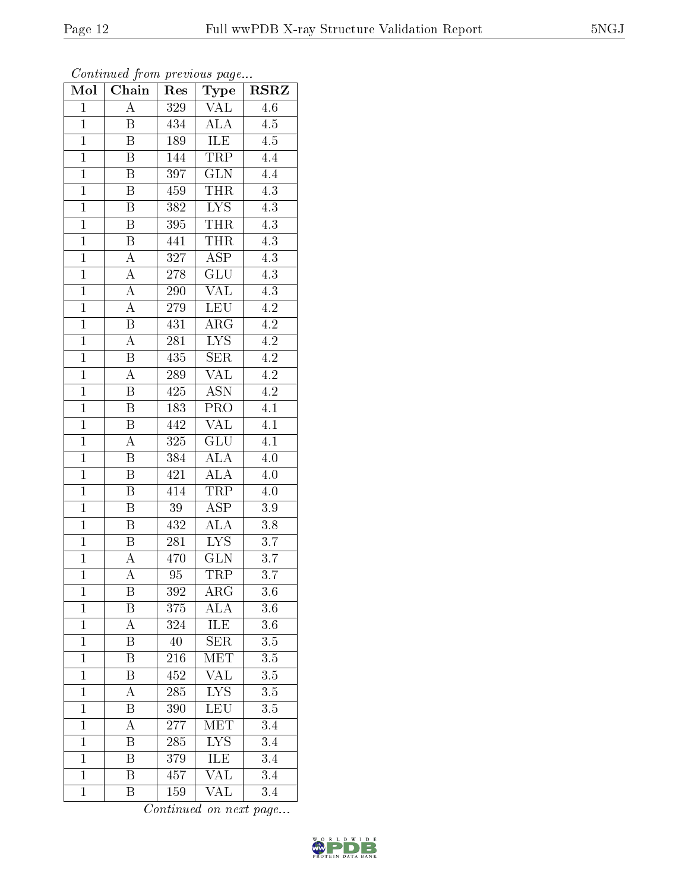| Mol            | Chain                   | Res              | Type                    | <b>RSRZ</b>      |
|----------------|-------------------------|------------------|-------------------------|------------------|
| $\mathbf{1}$   | $\overline{\rm A}$      | 329              | VAL                     | 4.6              |
| $\overline{1}$ | Β                       | 434              | $\overline{\text{ALA}}$ | 4.5              |
| $\mathbf{1}$   | $\overline{\mathrm{B}}$ | 189              | <b>ILE</b>              | 4.5              |
| $\mathbf{1}$   | $\, {\bf B}$            | 144              | TRP                     | 4.4              |
| $\overline{1}$ | $\overline{\mathrm{B}}$ | 397              | $\overline{\text{GLN}}$ | $\overline{4.4}$ |
| $\mathbf{1}$   | $\boldsymbol{B}$        | 459              | <b>THR</b>              | $\overline{4.3}$ |
| $\overline{1}$ | $\boldsymbol{B}$        | 382              | $\overline{\text{LYS}}$ | $\overline{4.3}$ |
| $\overline{1}$ | B                       | 395              | <b>THR</b>              | 4.3              |
| $\mathbf{1}$   | $\bar{\text{B}}$        | 441              | <b>THR</b>              | $\overline{4.3}$ |
| $\mathbf{1}$   | $\overline{A}$          | 327              | $\overline{\text{ASP}}$ | $\overline{4.3}$ |
| $\overline{1}$ | $\overline{\rm A}$      | 278              | <b>GLU</b>              | $\overline{4.3}$ |
| $\overline{1}$ | $\overline{A}$          | $\overline{290}$ | $\overline{\text{VAL}}$ | $\overline{4.3}$ |
| $\overline{1}$ | $\overline{A}$          | 279              | LEU                     | $\overline{4.2}$ |
| $\mathbf{1}$   | $\overline{\mathrm{B}}$ | 431              | $\rm{ARG}$              | $\overline{4.2}$ |
| $\overline{1}$ | $\overline{A}$          | $\overline{281}$ | $\overline{\text{LYS}}$ | $\overline{4.2}$ |
| $\overline{1}$ | B                       | $43\overline{5}$ | <b>SER</b>              | $4.2\,$          |
| $\overline{1}$ | $\overline{A}$          | <b>289</b>       | $\overline{\text{VAL}}$ | $\overline{4.2}$ |
| $\overline{1}$ | B                       | 425              | $\overline{\text{ASN}}$ | $\overline{4.2}$ |
| $\overline{1}$ | $\, {\bf B}$            | 183              | $\overline{\text{PRO}}$ | $\overline{4.1}$ |
| $\overline{1}$ | Β                       | $44\overline{2}$ | <b>VAL</b>              | 4.1              |
| $\overline{1}$ | A                       | 325              | <b>GLU</b>              | $\overline{4.1}$ |
| $\overline{1}$ | $\overline{\mathrm{B}}$ | 384              | $\overline{\rm ALA}$    | $4.0\,$          |
| $\mathbf{1}$   | $\boldsymbol{B}$        | 421              | <b>ALA</b>              | $4.0\,$          |
| $\overline{1}$ | $\overline{\mathrm{B}}$ | 414              | <b>TRP</b>              | $4.0\,$          |
| $\mathbf{1}$   | B                       | 39               | $\overline{\text{ASP}}$ | $3.9\,$          |
| $\overline{1}$ | $\, {\bf B}$            | 432              | <b>ALA</b>              | $3.8\,$          |
| $\overline{1}$ | B                       | 281              | $\overline{\text{LYS}}$ | $\overline{3.7}$ |
| $\bar{1}$      | A                       | 470              | <b>GLN</b>              | 3.7              |
| $\overline{1}$ | $\overline{\rm A}$      | 95               | TRP                     | $\overline{3}.7$ |
| $\mathbf{1}$   | Β                       | 392              | $\rm{ARG}$              | 3.6              |
| $\mathbf{1}$   | Β                       | 375              | $\widehat{\text{ALA}}$  | 3.6              |
| $\mathbf{1}$   | A                       | 324              | <b>ILE</b>              | $\overline{3.6}$ |
| $\mathbf{1}$   | Β                       | 40               | <b>SER</b>              | 3.5              |
| $\mathbf{1}$   | $\overline{\mathrm{B}}$ | $\overline{216}$ | MET                     | $\overline{3.5}$ |
| $\mathbf{1}$   | Β                       | 452              | <b>VAL</b>              | $3.5\,$          |
| $\overline{1}$ | A                       | 285              | $\overline{\text{LYS}}$ | $\overline{3.5}$ |
| $\mathbf{1}$   | Β                       | 390              | LEU                     | $3.5\,$          |
| $\overline{1}$ | A                       | 277              | MET                     | 3.4              |
| $\mathbf{1}$   | Β                       | 285              | $\overline{\text{LYS}}$ | 3.4              |
| $\overline{1}$ | B                       | 379              | ILE                     | 3.4              |
| $\mathbf{1}$   | $\overline{\text{B}}$   | 457              | $\overline{\text{VAL}}$ | 3.4              |
| $\mathbf{1}$   | Β                       | 159              | VAL                     | 3.4              |

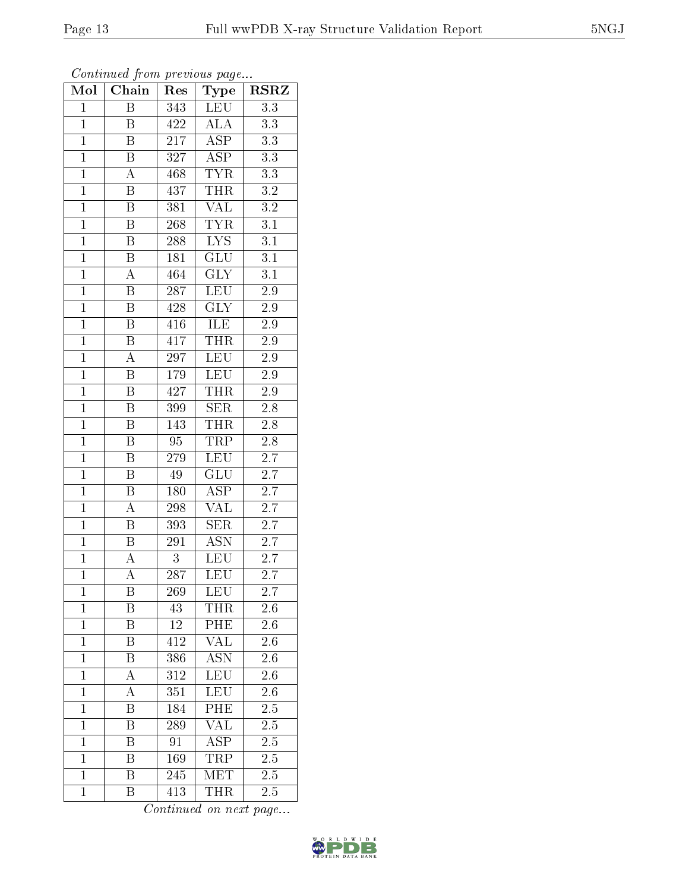| Mol            | Chain                   | $\operatorname{Res}% \left( \mathcal{N}\right) \equiv\operatorname{Res}(\mathcal{N}_{0})\left( \mathcal{N}_{0}\right) ^{\ast}\left( \mathcal{N}_{0}\right)$ | Type                    | $_{\rm RSRZ}$    |
|----------------|-------------------------|-------------------------------------------------------------------------------------------------------------------------------------------------------------|-------------------------|------------------|
| $\mathbf{1}$   | Β                       | 343                                                                                                                                                         | LEU                     | $\overline{3.3}$ |
| $\mathbf{1}$   | B                       | 422                                                                                                                                                         | <b>ALA</b>              | 3.3              |
| $\overline{1}$ | $\overline{\mathrm{B}}$ | 217                                                                                                                                                         | $\overline{\text{ASP}}$ | $\overline{3.3}$ |
| $\overline{1}$ | $\, {\bf B}$            | 327                                                                                                                                                         | $\overline{\text{ASP}}$ | $\overline{3.3}$ |
| $\overline{1}$ | $\overline{\rm A}$      | 468                                                                                                                                                         | <b>TYR</b>              | $\overline{3.3}$ |
| $\mathbf{1}$   | B                       | 437                                                                                                                                                         | THR                     | $\overline{3.2}$ |
| $\overline{1}$ | B                       | 381                                                                                                                                                         | <b>VAL</b>              | $\overline{3.2}$ |
| $\overline{1}$ | $\boldsymbol{B}$        | 268                                                                                                                                                         | $\overline{\text{TYR}}$ | $\overline{3.1}$ |
| $\overline{1}$ | $\boldsymbol{B}$        | 288                                                                                                                                                         | $\overline{\text{LYS}}$ | $\overline{3.1}$ |
| $\overline{1}$ | Β                       | 181                                                                                                                                                         | $\overline{\text{GLU}}$ | $\overline{3.1}$ |
| $\overline{1}$ | A                       | 464                                                                                                                                                         | $\overline{\text{GLY}}$ | $\overline{3.1}$ |
| $\overline{1}$ | $\overline{\mathrm{B}}$ | 287                                                                                                                                                         | $\overline{\text{LEU}}$ | $2.\overline{9}$ |
| $\overline{1}$ | $\boldsymbol{B}$        | 428                                                                                                                                                         | $\overline{\text{GLY}}$ | $2.9\,$          |
| $\overline{1}$ | $\boldsymbol{B}$        | 416                                                                                                                                                         | ILE                     | 2.9              |
| $\overline{1}$ | $\overline{\mathrm{B}}$ | 417                                                                                                                                                         | THR                     | $2.9\,$          |
| $\mathbf{1}$   | A                       | 297                                                                                                                                                         | $\overline{\text{LEU}}$ | $2.9\,$          |
| $\overline{1}$ | B                       | $1\,79$                                                                                                                                                     | LEU                     | $2.\overline{9}$ |
| $\mathbf{1}$   | $\, {\bf B}$            | 427                                                                                                                                                         | <b>THR</b>              | 2.9              |
| $\mathbf{1}$   | $\boldsymbol{B}$        | 399                                                                                                                                                         | <b>SER</b>              | 2.8              |
| $\overline{1}$ | $\overline{\mathbf{B}}$ | 143                                                                                                                                                         | $\overline{\text{THR}}$ | $\overline{2.8}$ |
| $\mathbf{1}$   | B                       | 95                                                                                                                                                          | <b>TRP</b>              | $2.8\,$          |
| $\overline{1}$ | $\overline{\mathrm{B}}$ | $\overline{279}$                                                                                                                                            | <b>LEU</b>              | $\overline{2.7}$ |
| $\overline{1}$ | $\, {\bf B}$            | 49                                                                                                                                                          | GLU                     | 2.7              |
| $\overline{1}$ | $\overline{\mathrm{B}}$ | 180                                                                                                                                                         | $\overline{\rm ASP}$    | $\overline{2.7}$ |
| $\overline{1}$ | A                       | 298                                                                                                                                                         | $\overline{\text{VAL}}$ | 2.7              |
| $\overline{1}$ | B                       | 393                                                                                                                                                         | $\overline{\text{SER}}$ | 2.7              |
| $\overline{1}$ | $\overline{\mathrm{B}}$ | $\overline{291}$                                                                                                                                            | $\overline{\text{ASN}}$ | $\overline{2.7}$ |
| $\overline{1}$ | А                       | $\overline{3}$                                                                                                                                              | <b>LEU</b>              | $\overline{2.7}$ |
| $\overline{1}$ | $\overline{\rm A}$      | 287                                                                                                                                                         | $\overline{\text{LEU}}$ | 2.7              |
| 1              | Β                       | 269                                                                                                                                                         | <b>LEU</b>              | 2.7              |
| $\mathbf{1}$   | Β                       | 43                                                                                                                                                          | THR                     | 2.6              |
| $\mathbf{1}$   | Β                       | 12                                                                                                                                                          | PHE                     | 2.6              |
| $\overline{1}$ | B                       | 412                                                                                                                                                         | <b>VAL</b>              | 2.6              |
| $\mathbf{1}$   | B                       | 386                                                                                                                                                         | <b>ASN</b>              | 2.6              |
| $\mathbf{1}$   | А                       | 312                                                                                                                                                         | <b>LEU</b>              | 2.6              |
| $\mathbf{1}$   | А                       | 351                                                                                                                                                         | LEU                     | $2.\overline{6}$ |
| $\mathbf{1}$   | $\overline{\mathrm{B}}$ | 184                                                                                                                                                         | PHE                     | $\overline{2.5}$ |
| $\mathbf{1}$   | B                       | 289                                                                                                                                                         | $\overline{\text{VAL}}$ | $2.\overline{5}$ |
| $\overline{1}$ | $\rm \overline{B}$      | $9\overline{1}$                                                                                                                                             | $\overline{\text{ASP}}$ | $\overline{2.5}$ |
| $\mathbf{1}$   | Β                       | 169                                                                                                                                                         | TRP                     | $2.5\,$          |
| $\mathbf{1}$   | $\overline{\mathrm{B}}$ | 245                                                                                                                                                         | MET                     | 2.5              |
| $\mathbf{1}$   | Β                       | 413                                                                                                                                                         | <b>THR</b>              | 2.5              |

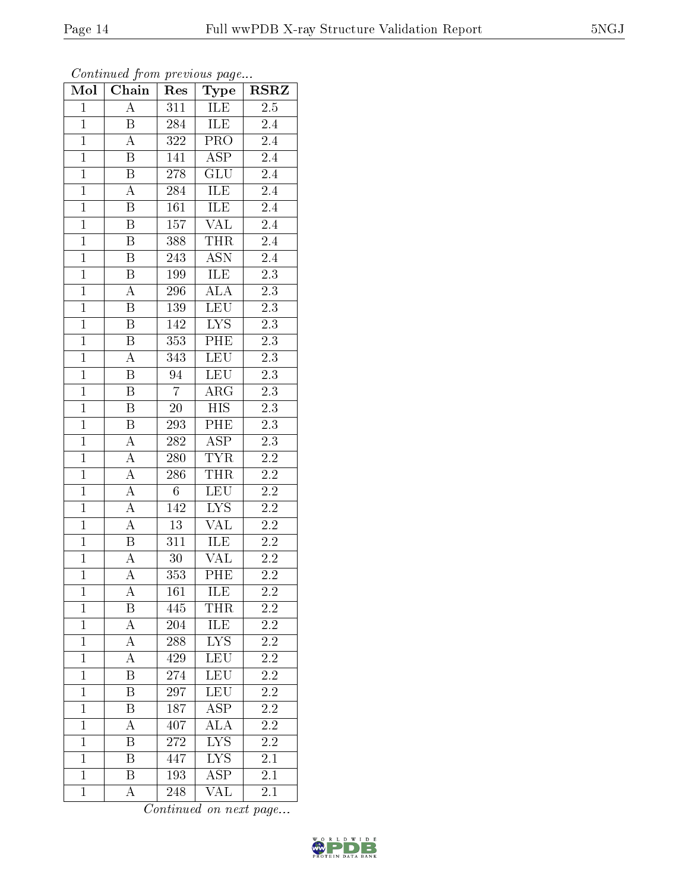| Mol            | Chain                   | Res              | Type                    | <b>RSRZ</b>      |
|----------------|-------------------------|------------------|-------------------------|------------------|
| $\mathbf{1}$   | $\overline{\rm A}$      | 311              | ILE                     | $\overline{2.5}$ |
| $\overline{1}$ | B                       | 284              | ILE                     | 2.4              |
| $\mathbf{1}$   | A                       | 322              | $\overline{\text{PRO}}$ | $2.\overline{4}$ |
| $\mathbf{1}$   | B                       | 141              | $\overline{\text{ASP}}$ | $2.4\,$          |
| $\overline{1}$ | $\overline{\mathrm{B}}$ | 278              | $\overline{\text{GLU}}$ | $2.4\,$          |
| $\mathbf{1}$   | $\overline{\rm A}$      | 284              | ILE                     | 2.4              |
| $\overline{1}$ | $\boldsymbol{B}$        | 161              | ILE                     | 2.4              |
| $\overline{1}$ | B                       | 157              | $\overline{\text{VAL}}$ | $\overline{2.4}$ |
| $\overline{1}$ | $\bar{\text{B}}$        | 388              | <b>THR</b>              | 2.4              |
| $\overline{1}$ | $\overline{\mathrm{B}}$ | 243              | <b>ASN</b>              | 2.4              |
| $\overline{1}$ | $\overline{\mathrm{B}}$ | 199              | ILE                     | $\overline{2.3}$ |
| $\overline{1}$ | $\overline{\rm A}$      | 296              | $\overline{\text{ALA}}$ | $\overline{2.3}$ |
| $\overline{1}$ | $\overline{\mathbf{B}}$ | 139              | <b>LEU</b>              | $\overline{2.3}$ |
| $\mathbf{1}$   | $\boldsymbol{B}$        | 142              | $\overline{LYS}$        | $2.3\,$          |
| $\overline{1}$ | $\overline{\mathrm{B}}$ | 353              | PHE                     | $\overline{2.3}$ |
| $\overline{1}$ | A                       | 343              | <b>LEU</b>              | $\overline{2.3}$ |
| $\overline{1}$ | $\overline{\mathrm{B}}$ | $\overline{94}$  | LEU                     | $\overline{2.3}$ |
| $\overline{1}$ | $\, {\bf B}$            | $\overline{7}$   | $\rm{ARG}$              | 2.3              |
| $\overline{1}$ | $\overline{B}$          | $\overline{20}$  | <b>HIS</b>              | $\overline{2.3}$ |
| $\overline{1}$ | $\boldsymbol{B}$        | 293              | PHE                     | $2\overline{.3}$ |
| $\overline{1}$ | $\boldsymbol{A}$        | 282              | <b>ASP</b>              | $\overline{2.3}$ |
| $\overline{1}$ | $\overline{A}$          | 280              | <b>TYR</b>              | $\overline{2.2}$ |
| $\mathbf{1}$   | $\boldsymbol{A}$        | 286              | <b>THR</b>              | $2.2\,$          |
| $\overline{1}$ | $\overline{A}$          | $\,6$            | LEU                     | $\overline{2.2}$ |
| $\mathbf{1}$   | $\overline{\rm A}$      | 142              | $\overline{\text{LYS}}$ | $2.2\,$          |
| $\overline{1}$ | $\overline{A}$          | $\overline{13}$  | <b>VAL</b>              | $2.2\,$          |
| $\overline{1}$ | $\overline{\mathbf{B}}$ | $\overline{311}$ | <b>ILE</b>              | $\overline{2.2}$ |
| $\mathbf{1}$   | $\overline{\rm A}$      | 30               | VAL                     | $2\overline{.2}$ |
| $\overline{1}$ | $\overline{\rm A}$      | 353              | PHE                     | 2.2              |
| $\mathbf{1}$   | А                       | 161              | ILE                     | $\overline{2.2}$ |
| $\mathbf{1}$   | Β                       | 445              | THR                     | 2.2              |
| $\mathbf{1}$   | $\overline{\rm A}$      | 204              | ILE                     | <b>2.2</b>       |
| $\mathbf{1}$   | A                       | 288              | ${\rm LYS}$             | 2.2              |
| $\mathbf{1}$   | $\overline{\rm A}$      | 429              | LEU                     | $\overline{2.2}$ |
| $\mathbf{1}$   | Β                       | 274              | <b>LEU</b>              | $2.\overline{2}$ |
| $\overline{1}$ | Β                       | 297              | LEU                     | $\overline{2.2}$ |
| $\mathbf{1}$   | Β                       | 187              | ASP                     | 2.2              |
| $\overline{1}$ | А                       | 407              | <b>ALA</b>              | $2\overline{.2}$ |
| $\mathbf{1}$   | Β                       | 272              | <b>LYS</b>              | $2.\overline{2}$ |
| $\mathbf{1}$   | B                       | 447              | LYS                     | 2.1              |
| $\mathbf{1}$   | Β                       | 193              | $\overline{\text{ASP}}$ | 2.1              |
| $\mathbf{1}$   | А                       | 248              | $\overline{\text{VAL}}$ | 2.1              |

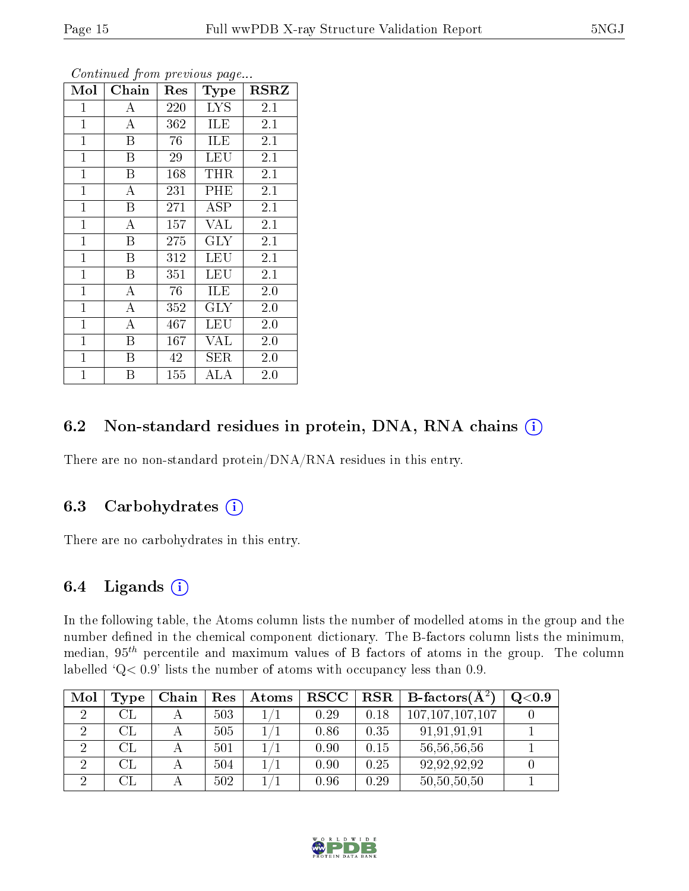| Mol          | Chain            | $\operatorname{Res}% \left( \mathcal{N}\right) \equiv\operatorname{Res}(\mathcal{N}_{0})\left( \mathcal{N}_{0}\right) ^{2}$ | Type        | RSRZ             |
|--------------|------------------|-----------------------------------------------------------------------------------------------------------------------------|-------------|------------------|
| 1            | А                | 220                                                                                                                         | <b>LYS</b>  | 2.1              |
| $\mathbf{1}$ | A                | 362                                                                                                                         | ILE         | 2.1              |
| $\mathbf{1}$ | Β                | 76                                                                                                                          | ILE         | 2.1              |
| $\mathbf{1}$ | B                | 29                                                                                                                          | LEU         | 2.1              |
| $\mathbf{1}$ | $\boldsymbol{B}$ | 168                                                                                                                         | THR         | $2.\overline{1}$ |
| $\mathbf{1}$ | A                | 231                                                                                                                         | PHE         | 2.1              |
| $\mathbf{1}$ | Β                | 271                                                                                                                         | ASP         | 2.1              |
| $\mathbf{1}$ | A                | 157                                                                                                                         | <b>VAL</b>  | 2.1              |
| $\mathbf{1}$ | Β                | 275                                                                                                                         | $\rm GLY$   | 2.1              |
| $\mathbf{1}$ | Β                | 312                                                                                                                         | <b>LEU</b>  | 2.1              |
| $\mathbf{1}$ | B                | 351                                                                                                                         | LEU         | 2.1              |
| $\mathbf{1}$ | А                | 76                                                                                                                          | ILE         | 2.0              |
| $\mathbf{1}$ | $\boldsymbol{A}$ | 352                                                                                                                         | <b>GLY</b>  | 2.0              |
| $\mathbf{1}$ | $\bf{A}$         | 467                                                                                                                         | LEU         | 2.0              |
| $\mathbf{1}$ | B                | 167                                                                                                                         | VAL         | 2.0              |
| $\mathbf{1}$ | B                | 42                                                                                                                          | ${\rm SER}$ | 2.0              |
| $\mathbf{1}$ | Β                | 155                                                                                                                         | ALA         | $2.0\,$          |

### 6.2 Non-standard residues in protein, DNA, RNA chains (i)

There are no non-standard protein/DNA/RNA residues in this entry.

### 6.3 Carbohydrates  $(i)$

There are no carbohydrates in this entry.

### 6.4 Ligands  $(i)$

In the following table, the Atoms column lists the number of modelled atoms in the group and the number defined in the chemical component dictionary. The B-factors column lists the minimum, median,  $95<sup>th</sup>$  percentile and maximum values of B factors of atoms in the group. The column labelled  $Q < 0.9$ ' lists the number of atoms with occupancy less than 0.9.

| Mol | Type          | Chain | Res | $\boldsymbol{\mathrm{Atoms}}$ | $_{\rm RSCC}$ | RSR  | $\perp$ B-factors( $\rm \AA^2$ ) | Q <sub>0.9</sub> |
|-----|---------------|-------|-----|-------------------------------|---------------|------|----------------------------------|------------------|
|     | $\rm CL$      |       | 503 |                               | 0.29          | 0.18 | 107, 107, 107, 107               |                  |
|     | $\mathrm{CL}$ |       | 505 |                               | 0.86          | 0.35 | 91,91,91,91                      |                  |
| റ   | $\mathrm{CL}$ |       | 501 |                               | 0.90          | 0.15 | 56,56,56,56                      |                  |
|     |               |       | 504 |                               | 0.90          | 0.25 | 92,92,92,92                      |                  |
|     |               |       | 502 |                               | 0.96          | 0.29 | 50,50,50,50                      |                  |